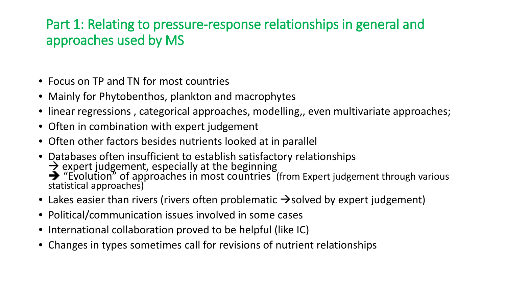## Part 1: Relating to pressure-response relationships in general and approaches used by MS

- Focus on TP and TN for most countries
- Mainly for Phytobenthos, plankton and macrophytes
- linear regressions, categorical approaches, modelling,, even multivariate approaches;
- Often in combination with expert judgement
- Often other factors besides nutrients looked at in parallel
- Databases often insufficient to establish satisfactory relationships  $\rightarrow$  expert judgement, especially at the beginning<br> $\rightarrow$  "Evolution" of approaches in most countries (from Expert judgement through various statistical approaches)
- Lakes easier than rivers (rivers often problematic  $\rightarrow$  solved by expert judgement)
- Political/communication issues involved in some cases
- International collaboration proved to be helpful (like IC)
- Changes in types sometimes call for revisions of nutrient relationships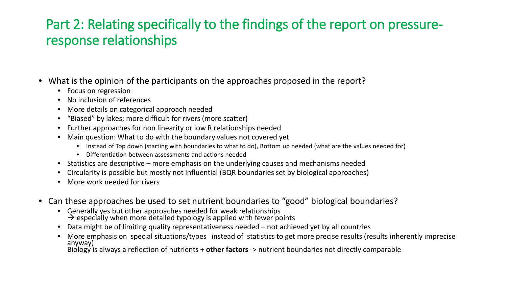## Part 2: Relating specifically to the findings of the report on pressureresponse relationships

- What is the opinion of the participants on the approaches proposed in the report?
	- Focus on regression
	- No inclusion of references
	- More details on categorical approach needed
	- "Biased" by lakes; more difficult for rivers (more scatter)
	- Further approaches for non linearity or low R relationships needed
	- Main question: What to do with the boundary values not covered yet
		- Instead of Top down (starting with boundaries to what to do), Bottom up needed (what are the values needed for)
		- Differentiation between assessments and actions needed
	- Statistics are descriptive more emphasis on the underlying causes and mechanisms needed
	- Circularity is possible but mostly not influential (BQR boundaries set by biological approaches)
	- More work needed for rivers
- Can these approaches be used to set nutrient boundaries to "good" biological boundaries?
	- Generally yes but other approaches needed for weak relationships  $\rightarrow$  especially when more detailed typology is applied with fewer points
	- Data might be of limiting quality representativeness needed not achieved yet by all countries
	- More emphasis on special situations/types instead of statistics to get more precise results (results inherently imprecise anyway)

Biology is always a reflection of nutrients **+ other factors** -> nutrient boundaries not directly comparable